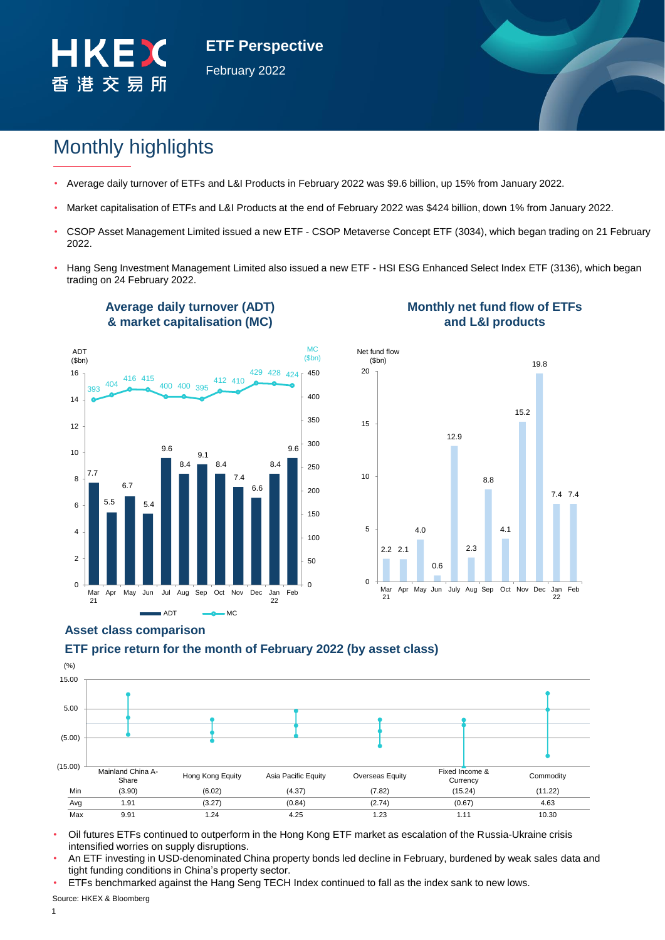

**ETF Perspective** February 2022

# Monthly highlights

- Average daily turnover of ETFs and L&I Products in February 2022 was \$9.6 billion, up 15% from January 2022.
- Market capitalisation of ETFs and L&I Products at the end of February 2022 was \$424 billion, down 1% from January 2022.
- CSOP Asset Management Limited issued a new ETF CSOP Metaverse Concept ETF (3034), which began trading on 21 February 2022.
- Hang Seng Investment Management Limited also issued a new ETF HSI ESG Enhanced Select Index ETF (3136), which began trading on 24 February 2022.



**Average daily turnover (ADT)** 

## **Monthly net fund flow of ETFs and L&I products**



# **ETF price return for the month of February 2022 (by asset class) Asset class comparison**



- Oil futures ETFs continued to outperform in the Hong Kong ETF market as escalation of the Russia-Ukraine crisis intensified worries on supply disruptions.
- An ETF investing in USD-denominated China property bonds led decline in February, burdened by weak sales data and tight funding conditions in China's property sector.

• ETFs benchmarked against the Hang Seng TECH Index continued to fall as the index sank to new lows.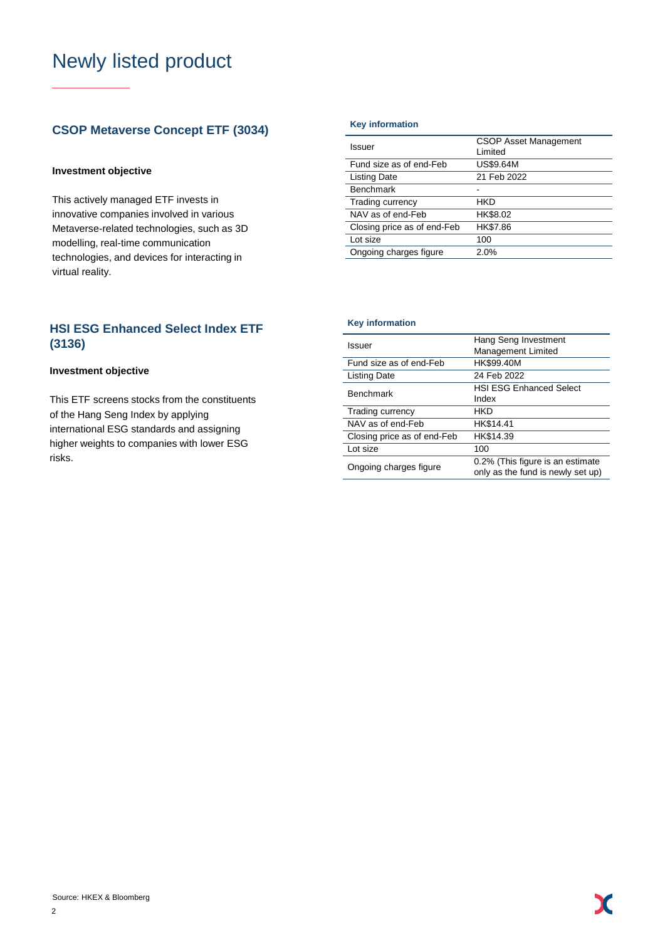# Newly listed product

# **CSOP Metaverse Concept ETF (3034)** Key information

### **Investment objective**

This actively managed ETF invests in innovative companies involved in various Metaverse-related technologies, such as 3D modelling, real-time communication technologies, and devices for interacting in virtual reality.

# **HSI ESG Enhanced Select Index ETF (3136)**

### **Investment objective**

This ETF screens stocks from the constituents of the Hang Seng Index by applying international ESG standards and assigning higher weights to companies with lower ESG risks.

| Issuer                      | <b>CSOP Asset Management</b><br>I imited |
|-----------------------------|------------------------------------------|
| Fund size as of end-Feb     | US\$9.64M                                |
| <b>Listing Date</b>         | 21 Feb 2022                              |
| <b>Benchmark</b>            |                                          |
| Trading currency            | HKD                                      |
| NAV as of end-Feb           | HK\$8.02                                 |
| Closing price as of end-Feb | HK\$7.86                                 |
| Lot size                    | 100                                      |
| Ongoing charges figure      | 2.0%                                     |
|                             |                                          |

#### **Key information**

| Issuer                      | Hang Seng Investment<br>Management Limited                            |
|-----------------------------|-----------------------------------------------------------------------|
| Fund size as of end-Feb     | HK\$99.40M                                                            |
| Listing Date                | 24 Feb 2022                                                           |
| <b>Benchmark</b>            | <b>HSI ESG Enhanced Select</b><br>Index                               |
| Trading currency            | HKD                                                                   |
| NAV as of end-Feb           | HK\$14.41                                                             |
| Closing price as of end-Feb | HK\$14.39                                                             |
| Lot size                    | 100                                                                   |
| Ongoing charges figure      | 0.2% (This figure is an estimate<br>only as the fund is newly set up) |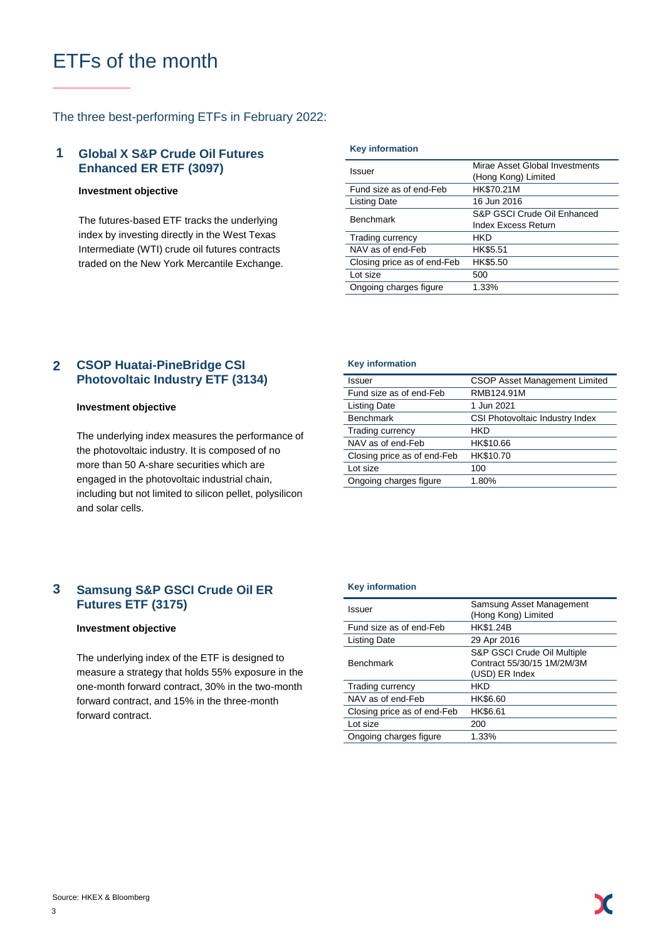# ETFs of the month

### The three best-performing ETFs in February 2022:

#### **Global X S&P Crude Oil Futures Enhanced ER ETF (3097) 1**

#### **Investment objective**

The futures-based ETF tracks the underlying index by investing directly in the West Texas Intermediate (WTI) crude oil futures contracts traded on the New York Mercantile Exchange.

#### **Key information**

| Issuer                      | Mirae Asset Global Investments<br>(Hong Kong) Limited     |  |  |  |  |
|-----------------------------|-----------------------------------------------------------|--|--|--|--|
| Fund size as of end-Feb     | HK\$70.21M                                                |  |  |  |  |
| <b>Listing Date</b>         | 16 Jun 2016                                               |  |  |  |  |
| <b>Benchmark</b>            | S&P GSCI Crude Oil Enhanced<br><b>Index Excess Return</b> |  |  |  |  |
| Trading currency            | HKD                                                       |  |  |  |  |
| NAV as of end-Feb           | HK\$5.51                                                  |  |  |  |  |
| Closing price as of end-Feb | HK\$5.50                                                  |  |  |  |  |
| Lot size                    | 500                                                       |  |  |  |  |
| Ongoing charges figure      | 1.33%                                                     |  |  |  |  |

#### **CSOP Huatai-PineBridge CSI Photovoltaic Industry ETF (3134) 2**

#### **Investment objective**

The underlying index measures the performance of the photovoltaic industry. It is composed of no more than 50 A-share securities which are engaged in the photovoltaic industrial chain, including but not limited to silicon pellet, polysilicon and solar cells.

#### **Samsung S&P GSCI Crude Oil ER Futures ETF (3175) 3**

### **Investment objective**

The underlying index of the ETF is designed to measure a strategy that holds 55% exposure in the one-month forward contract, 30% in the two-month forward contract, and 15% in the three-month forward contract.

#### **Key information**

| Issuer                      | <b>CSOP Asset Management Limited</b> |
|-----------------------------|--------------------------------------|
| Fund size as of end-Feb     | RMB124.91M                           |
| <b>Listing Date</b>         | 1 Jun 2021                           |
| <b>Benchmark</b>            | CSI Photovoltaic Industry Index      |
| Trading currency            | HKD                                  |
| NAV as of end-Feb           | HK\$10.66                            |
| Closing price as of end-Feb | HK\$10.70                            |
| Lot size                    | 100                                  |
| Ongoing charges figure      | 1.80%                                |

#### **Key information**

| Issuer                      | Samsung Asset Management<br>(Hong Kong) Limited                             |  |  |  |
|-----------------------------|-----------------------------------------------------------------------------|--|--|--|
| Fund size as of end-Feb     | HK\$1.24B                                                                   |  |  |  |
| <b>Listing Date</b>         | 29 Apr 2016                                                                 |  |  |  |
| <b>Benchmark</b>            | S&P GSCI Crude Oil Multiple<br>Contract 55/30/15 1M/2M/3M<br>(USD) ER Index |  |  |  |
| Trading currency            | HKD                                                                         |  |  |  |
| NAV as of end-Feb           | HK\$6.60                                                                    |  |  |  |
| Closing price as of end-Feb | HK\$6.61                                                                    |  |  |  |
| Lot size                    | 200                                                                         |  |  |  |
| Ongoing charges figure      | 1.33%                                                                       |  |  |  |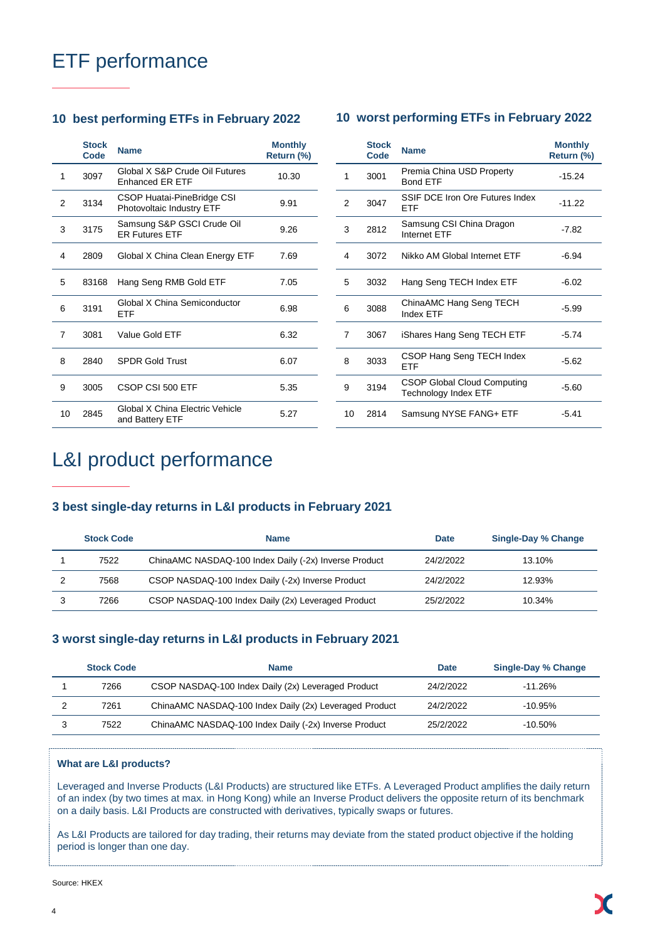# ETF performance

## **10 best performing ETFs in February 2022 10 worst performing ETFs in February 2022**

|    | <b>Stock</b><br>Code | <b>Name</b>                                              | <b>Monthly</b><br>Return (%) |    | <b>Stock</b><br>Code | <b>Name</b>                                                | <b>Monthly</b><br>Return (%) |
|----|----------------------|----------------------------------------------------------|------------------------------|----|----------------------|------------------------------------------------------------|------------------------------|
| 1  | 3097                 | Global X S&P Crude Oil Futures<br><b>Enhanced ER ETF</b> | 10.30                        | 1  | 3001                 | Premia China USD Property<br><b>Bond ETF</b>               | $-15.24$                     |
| 2  | 3134                 | CSOP Huatai-PineBridge CSI<br>Photovoltaic Industry ETF  | 9.91                         | 2  | 3047                 | SSIF DCE Iron Ore Futures Index<br><b>ETF</b>              | $-11.22$                     |
| 3  | 3175                 | Samsung S&P GSCI Crude Oil<br><b>ER Futures ETF</b>      | 9.26                         | 3  | 2812                 | Samsung CSI China Dragon<br>Internet ETF                   | $-7.82$                      |
| 4  | 2809                 | Global X China Clean Energy ETF                          | 7.69                         | 4  | 3072                 | Nikko AM Global Internet ETF                               | $-6.94$                      |
| 5  | 83168                | Hang Seng RMB Gold ETF                                   | 7.05                         | 5  | 3032                 | Hang Seng TECH Index ETF                                   | $-6.02$                      |
| 6  | 3191                 | Global X China Semiconductor<br><b>ETF</b>               | 6.98                         | 6  | 3088                 | ChinaAMC Hang Seng TECH<br>Index ETF                       | $-5.99$                      |
| 7  | 3081                 | Value Gold ETF                                           | 6.32                         |    | 3067                 | iShares Hang Seng TECH ETF                                 | $-5.74$                      |
| 8  | 2840                 | <b>SPDR Gold Trust</b>                                   | 6.07                         | 8  | 3033                 | CSOP Hang Seng TECH Index<br><b>ETF</b>                    | $-5.62$                      |
| 9  | 3005                 | CSOP CSI 500 ETF                                         | 5.35                         | 9  | 3194                 | <b>CSOP Global Cloud Computing</b><br>Technology Index ETF | $-5.60$                      |
| 10 | 2845                 | Global X China Electric Vehicle<br>and Battery ETF       | 5.27                         | 10 | 2814                 | Samsung NYSE FANG+ ETF                                     | $-5.41$                      |

# 3 2812 Samsung CSI China Dragon Damsung Oor Online Dragon -7.82 4 3072 Nikko AM Global Internet ETF -6.94 5 3032 Hang Seng TECH Index ETF -6.02 6 3088 ChinaAMC Hang Seng TECH Drima-line hang beng 1 Lorr 15.99 7 3067 iShares Hang Seng TECH ETF -5.74 8 3033 CSOP Hang Seng TECH Index ETF -5.62 9 3194 CSOP Global Cloud Computing Secret Sides Cloud Companing -5.60<br>Technology Index ETF 10 2814 Samsung NYSE FANG+ ETF -5.41

# L&I product performance

### **3 best single-day returns in L&I products in February 2021**

| <b>Stock Code</b> | <b>Name</b>                                           | <b>Date</b> | <b>Single-Day % Change</b> |
|-------------------|-------------------------------------------------------|-------------|----------------------------|
| 7522              | ChinaAMC NASDAQ-100 Index Daily (-2x) Inverse Product | 24/2/2022   | 13.10%                     |
| 7568              | CSOP NASDAQ-100 Index Daily (-2x) Inverse Product     | 24/2/2022   | 12.93%                     |
| 7266              | CSOP NASDAQ-100 Index Daily (2x) Leveraged Product    | 25/2/2022   | 10.34%                     |

## **3 worst single-day returns in L&I products in February 2021**

| <b>Stock Code</b> | <b>Name</b>                                            | <b>Date</b> | Single-Day % Change |
|-------------------|--------------------------------------------------------|-------------|---------------------|
| 7266              | CSOP NASDAQ-100 Index Daily (2x) Leveraged Product     | 24/2/2022   | $-11.26\%$          |
| 7261              | ChinaAMC NASDAQ-100 Index Daily (2x) Leveraged Product | 24/2/2022   | $-10.95\%$          |
| 7522              | ChinaAMC NASDAQ-100 Index Daily (-2x) Inverse Product  | 25/2/2022   | $-10.50\%$          |

#### **What are L&I products?**

Leveraged and Inverse Products (L&I Products) are structured like ETFs. A Leveraged Product amplifies the daily return of an index (by two times at max. in Hong Kong) while an Inverse Product delivers the opposite return of its benchmark on a daily basis. L&I Products are constructed with derivatives, typically swaps or futures.

As L&I Products are tailored for day trading, their returns may deviate from the stated product objective if the holding period is longer than one day.

Source: HKEX